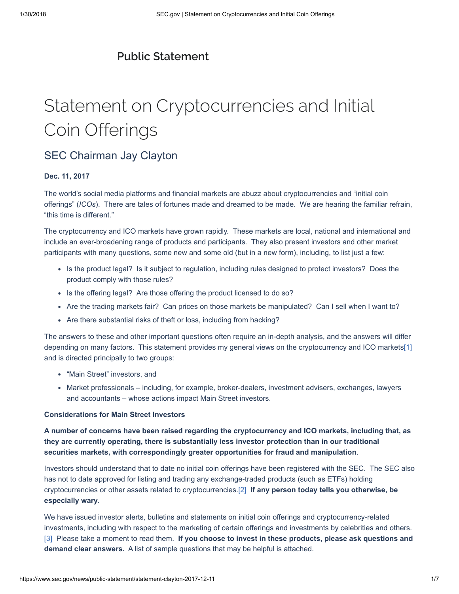# Public [Statement](https://www.sec.gov/news/statements)

# Statement on Cryptocurrencies and Initial Coin Offerings

# SEC Chairman Jay Clayton

# Dec. 11, 2017

The world's social media platforms and financial markets are abuzz about cryptocurrencies and "initial coin offerings" (ICOs). There are tales of fortunes made and dreamed to be made. We are hearing the familiar refrain, "this time is different."

The cryptocurrency and ICO markets have grown rapidly. These markets are local, national and international and include an ever-broadening range of products and participants. They also present investors and other market participants with many questions, some new and some old (but in a new form), including, to list just a few:

- Is the product legal? Is it subject to regulation, including rules designed to protect investors? Does the product comply with those rules?
- Is the offering legal? Are those offering the product licensed to do so?
- Are the trading markets fair? Can prices on those markets be manipulated? Can I sell when I want to?
- <span id="page-0-0"></span>• Are there substantial risks of theft or loss, including from hacking?

The answers to these and other important questions often require an in-depth analysis, and the answers will differ depending on many factors. This statement provides my general views on the cryptocurrency and ICO markets[\[1\]](#page-3-0) and is directed principally to two groups:

- "Main Street" investors, and
- Market professionals including, for example, broker-dealers, investment advisers, exchanges, lawyers and accountants – whose actions impact Main Street investors.

# Considerations for Main Street Investors

A number of concerns have been raised regarding the cryptocurrency and ICO markets, including that, as they are currently operating, there is substantially less investor protection than in our traditional securities markets, with correspondingly greater opportunities for fraud and manipulation.

<span id="page-0-1"></span>Investors should understand that to date no initial coin offerings have been registered with the SEC. The SEC also has not to date approved for listing and trading any exchange-traded products (such as ETFs) holding cryptocurrencies or other assets related to cryptocurrencies.[\[2\]](#page-4-0) If any person today tells you otherwise, be especially wary.

<span id="page-0-2"></span>We have issued investor alerts, bulletins and statements on initial coin offerings and cryptocurrency-related investments, including with respect to the marketing of certain offerings and investments by celebrities and others. [\[3\]](#page-4-1) Please take a moment to read them. If you choose to invest in these products, please ask questions and demand clear answers. A list of sample questions that may be helpful is attached.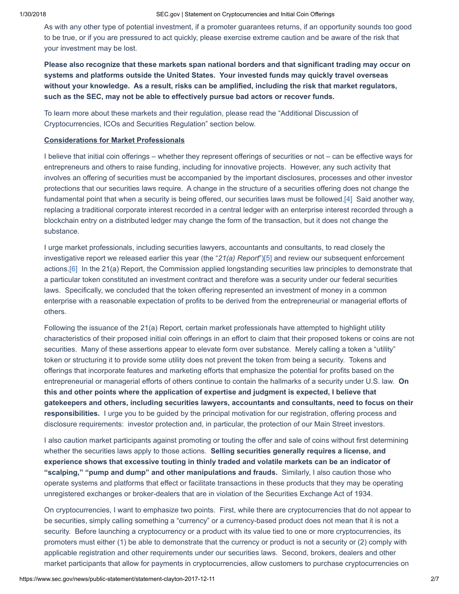As with any other type of potential investment, if a promoter guarantees returns, if an opportunity sounds too good to be true, or if you are pressured to act quickly, please exercise extreme caution and be aware of the risk that your investment may be lost.

Please also recognize that these markets span national borders and that significant trading may occur on systems and platforms outside the United States. Your invested funds may quickly travel overseas without your knowledge. As a result, risks can be amplified, including the risk that market regulators, such as the SEC, may not be able to effectively pursue bad actors or recover funds.

To learn more about these markets and their regulation, please read the "Additional Discussion of Cryptocurrencies, ICOs and Securities Regulation" section below.

## Considerations for Market Professionals

<span id="page-1-0"></span>I believe that initial coin offerings – whether they represent offerings of securities or not – can be effective ways for entrepreneurs and others to raise funding, including for innovative projects. However, any such activity that involves an offering of securities must be accompanied by the important disclosures, processes and other investor protections that our securities laws require. A change in the structure of a securities offering does not change the fundamental point that when a security is being offered, our securities laws must be followed.[\[4\]](#page-4-2) Said another way, replacing a traditional corporate interest recorded in a central ledger with an enterprise interest recorded through a blockchain entry on a distributed ledger may change the form of the transaction, but it does not change the substance.

<span id="page-1-2"></span><span id="page-1-1"></span>I urge market professionals, including securities lawyers, accountants and consultants, to read closely the investigative report we released earlier this year (the " $21(a)$  Report"[\)\[5\]](#page-4-3) and review our subsequent enforcement actions.[\[6\]](#page-4-4) In the 21(a) Report, the Commission applied longstanding securities law principles to demonstrate that a particular token constituted an investment contract and therefore was a security under our federal securities laws. Specifically, we concluded that the token offering represented an investment of money in a common enterprise with a reasonable expectation of profits to be derived from the entrepreneurial or managerial efforts of others.

Following the issuance of the 21(a) Report, certain market professionals have attempted to highlight utility characteristics of their proposed initial coin offerings in an effort to claim that their proposed tokens or coins are not securities. Many of these assertions appear to elevate form over substance. Merely calling a token a "utility" token or structuring it to provide some utility does not prevent the token from being a security. Tokens and offerings that incorporate features and marketing efforts that emphasize the potential for profits based on the entrepreneurial or managerial efforts of others continue to contain the hallmarks of a security under U.S. law. On this and other points where the application of expertise and judgment is expected, I believe that gatekeepers and others, including securities lawyers, accountants and consultants, need to focus on their responsibilities. I urge you to be guided by the principal motivation for our registration, offering process and disclosure requirements: investor protection and, in particular, the protection of our Main Street investors.

I also caution market participants against promoting or touting the offer and sale of coins without first determining whether the securities laws apply to those actions. Selling securities generally requires a license, and experience shows that excessive touting in thinly traded and volatile markets can be an indicator of "scalping," "pump and dump" and other manipulations and frauds. Similarly, I also caution those who operate systems and platforms that effect or facilitate transactions in these products that they may be operating unregistered exchanges or broker-dealers that are in violation of the Securities Exchange Act of 1934.

On cryptocurrencies, I want to emphasize two points. First, while there are cryptocurrencies that do not appear to be securities, simply calling something a "currency" or a currency-based product does not mean that it is not a security. Before launching a cryptocurrency or a product with its value tied to one or more cryptocurrencies, its promoters must either (1) be able to demonstrate that the currency or product is not a security or (2) comply with applicable registration and other requirements under our securities laws. Second, brokers, dealers and other market participants that allow for payments in cryptocurrencies, allow customers to purchase cryptocurrencies on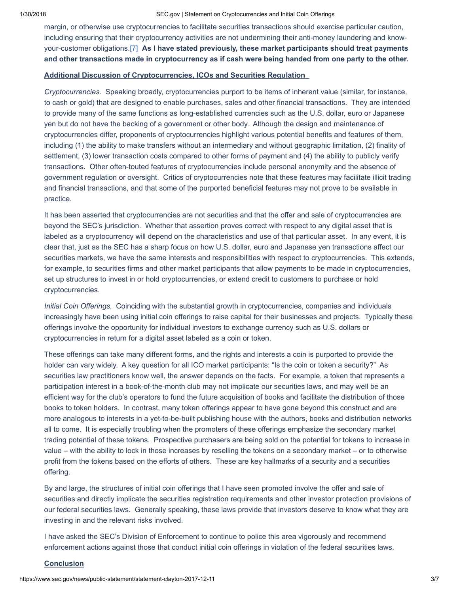#### 1/30/2018 SEC.gov | Statement on Cryptocurrencies and Initial Coin Offerings

<span id="page-2-0"></span>margin, or otherwise use cryptocurrencies to facilitate securities transactions should exercise particular caution, including ensuring that their cryptocurrency activities are not undermining their anti-money laundering and knowyour-customer obligations[.\[7\]](#page-4-5) As I have stated previously, these market participants should treat payments and other transactions made in cryptocurrency as if cash were being handed from one party to the other.

## Additional Discussion of Cryptocurrencies, ICOs and Securities Regulation

Cryptocurrencies. Speaking broadly, cryptocurrencies purport to be items of inherent value (similar, for instance, to cash or gold) that are designed to enable purchases, sales and other financial transactions. They are intended to provide many of the same functions as long-established currencies such as the U.S. dollar, euro or Japanese yen but do not have the backing of a government or other body. Although the design and maintenance of cryptocurrencies differ, proponents of cryptocurrencies highlight various potential benefits and features of them, including (1) the ability to make transfers without an intermediary and without geographic limitation, (2) finality of settlement, (3) lower transaction costs compared to other forms of payment and (4) the ability to publicly verify transactions. Other often-touted features of cryptocurrencies include personal anonymity and the absence of government regulation or oversight. Critics of cryptocurrencies note that these features may facilitate illicit trading and financial transactions, and that some of the purported beneficial features may not prove to be available in practice.

It has been asserted that cryptocurrencies are not securities and that the offer and sale of cryptocurrencies are beyond the SEC's jurisdiction. Whether that assertion proves correct with respect to any digital asset that is labeled as a cryptocurrency will depend on the characteristics and use of that particular asset. In any event, it is clear that, just as the SEC has a sharp focus on how U.S. dollar, euro and Japanese yen transactions affect our securities markets, we have the same interests and responsibilities with respect to cryptocurrencies. This extends, for example, to securities firms and other market participants that allow payments to be made in cryptocurrencies, set up structures to invest in or hold cryptocurrencies, or extend credit to customers to purchase or hold cryptocurrencies.

Initial Coin Offerings. Coinciding with the substantial growth in cryptocurrencies, companies and individuals increasingly have been using initial coin offerings to raise capital for their businesses and projects. Typically these offerings involve the opportunity for individual investors to exchange currency such as U.S. dollars or cryptocurrencies in return for a digital asset labeled as a coin or token.

These offerings can take many different forms, and the rights and interests a coin is purported to provide the holder can vary widely. A key question for all ICO market participants: "Is the coin or token a security?" As securities law practitioners know well, the answer depends on the facts. For example, a token that represents a participation interest in a book-of-the-month club may not implicate our securities laws, and may well be an efficient way for the club's operators to fund the future acquisition of books and facilitate the distribution of those books to token holders. In contrast, many token offerings appear to have gone beyond this construct and are more analogous to interests in a yet-to-be-built publishing house with the authors, books and distribution networks all to come. It is especially troubling when the promoters of these offerings emphasize the secondary market trading potential of these tokens. Prospective purchasers are being sold on the potential for tokens to increase in value – with the ability to lock in those increases by reselling the tokens on a secondary market – or to otherwise profit from the tokens based on the efforts of others. These are key hallmarks of a security and a securities offering.

By and large, the structures of initial coin offerings that I have seen promoted involve the offer and sale of securities and directly implicate the securities registration requirements and other investor protection provisions of our federal securities laws. Generally speaking, these laws provide that investors deserve to know what they are investing in and the relevant risks involved.

I have asked the SEC's Division of Enforcement to continue to police this area vigorously and recommend enforcement actions against those that conduct initial coin offerings in violation of the federal securities laws.

### **Conclusion**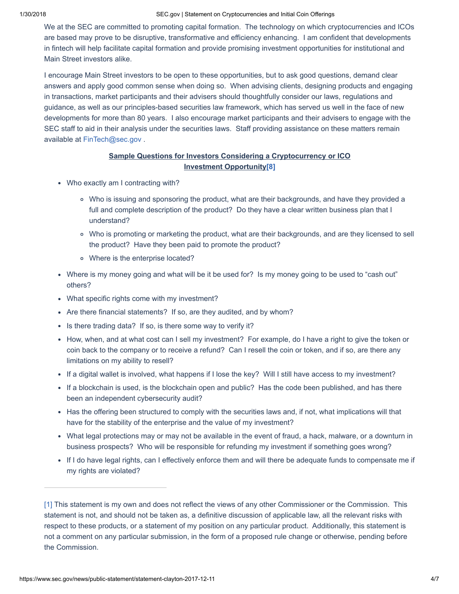#### 1/30/2018 SEC.gov | Statement on Cryptocurrencies and Initial Coin Offerings

We at the SEC are committed to promoting capital formation. The technology on which cryptocurrencies and ICOs are based may prove to be disruptive, transformative and efficiency enhancing. I am confident that developments in fintech will help facilitate capital formation and provide promising investment opportunities for institutional and Main Street investors alike.

I encourage Main Street investors to be open to these opportunities, but to ask good questions, demand clear answers and apply good common sense when doing so. When advising clients, designing products and engaging in transactions, market participants and their advisers should thoughtfully consider our laws, regulations and guidance, as well as our principles-based securities law framework, which has served us well in the face of new developments for more than 80 years. I also encourage market participants and their advisers to engage with the SEC staff to aid in their analysis under the securities laws. Staff providing assistance on these matters remain available at [FinTech@sec.gov](mailto:FinTech@sec.gov) .

# <span id="page-3-1"></span>Sample Questions for Investors Considering a Cryptocurrency or ICO Investment Opportunit[y\[8\]](#page-4-6)

- Who exactly am I contracting with?
	- Who is issuing and sponsoring the product, what are their backgrounds, and have they provided a full and complete description of the product? Do they have a clear written business plan that I understand?
	- Who is promoting or marketing the product, what are their backgrounds, and are they licensed to sell the product? Have they been paid to promote the product?
	- Where is the enterprise located?
- Where is my money going and what will be it be used for? Is my money going to be used to "cash out" others?
- What specific rights come with my investment?
- Are there financial statements? If so, are they audited, and by whom?
- Is there trading data? If so, is there some way to verify it?
- How, when, and at what cost can I sell my investment? For example, do I have a right to give the token or coin back to the company or to receive a refund? Can I resell the coin or token, and if so, are there any limitations on my ability to resell?
- If a digital wallet is involved, what happens if I lose the key? Will I still have access to my investment?
- If a blockchain is used, is the blockchain open and public? Has the code been published, and has there been an independent cybersecurity audit?
- Has the offering been structured to comply with the securities laws and, if not, what implications will that have for the stability of the enterprise and the value of my investment?
- What legal protections may or may not be available in the event of fraud, a hack, malware, or a downturn in business prospects? Who will be responsible for refunding my investment if something goes wrong?
- If I do have legal rights, can I effectively enforce them and will there be adequate funds to compensate me if my rights are violated?

<span id="page-3-0"></span>[<sup>\[1\]</sup>](#page-0-0) This statement is my own and does not reflect the views of any other Commissioner or the Commission. This statement is not, and should not be taken as, a definitive discussion of applicable law, all the relevant risks with respect to these products, or a statement of my position on any particular product. Additionally, this statement is not a comment on any particular submission, in the form of a proposed rule change or otherwise, pending before the Commission.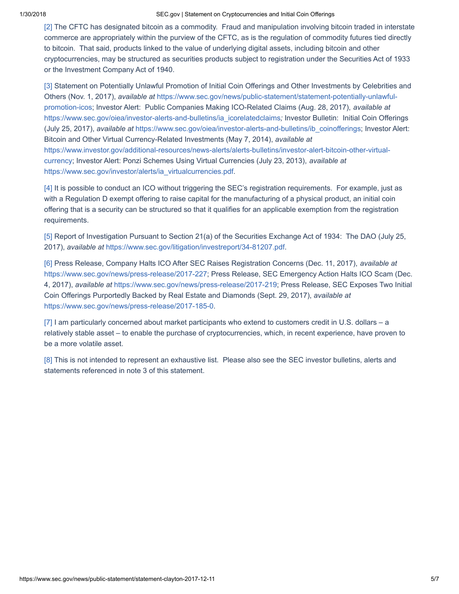<span id="page-4-0"></span>[\[2\]](#page-0-1) The CFTC has designated bitcoin as a commodity. Fraud and manipulation involving bitcoin traded in interstate commerce are appropriately within the purview of the CFTC, as is the regulation of commodity futures tied directly to bitcoin. That said, products linked to the value of underlying digital assets, including bitcoin and other cryptocurrencies, may be structured as securities products subject to registration under the Securities Act of 1933 or the Investment Company Act of 1940.

<span id="page-4-1"></span>[\[3\]](#page-0-2) Statement on Potentially Unlawful Promotion of Initial Coin Offerings and Other Investments by Celebrities and Others (Nov. 1, 2017), *available at https://www.sec.gov/news/public-statement/statement-potentially-unlawful*[promotion-icos; Investor Alert: Public Companies Making ICO-Related Claims \(Aug. 28, 2017\),](https://www.sec.gov/news/public-statement/statement-potentially-unlawful-promotion-icos) available at [https://www.sec.gov/oiea/investor-alerts-and-bulletins/ia\\_icorelatedclaims](https://www.sec.gov/oiea/investor-alerts-and-bulletins/ia_icorelatedclaims); Investor Bulletin: Initial Coin Offerings (July 25, 2017), available at [https://www.sec.gov/oiea/investor-alerts-and-bulletins/ib\\_coinofferings](https://www.sec.gov/oiea/investor-alerts-and-bulletins/ib_coinofferings); Investor Alert: Bitcoin and Other Virtual Currency-Related Investments (May 7, 2014), available at [https://www.investor.gov/additional-resources/news-alerts/alerts-bulletins/investor-alert-bitcoin-other-virtual](https://www.investor.gov/additional-resources/news-alerts/alerts-bulletins/investor-alert-bitcoin-other-virtual-currency)currency; Investor Alert: Ponzi Schemes Using Virtual Currencies (July 23, 2013), available at [https://www.sec.gov/investor/alerts/ia\\_virtualcurrencies.pdf.](https://www.sec.gov/investor/alerts/ia_virtualcurrencies.pdf)

<span id="page-4-2"></span>[\[4\]](#page-1-0) It is possible to conduct an ICO without triggering the SEC's registration requirements. For example, just as with a Regulation D exempt offering to raise capital for the manufacturing of a physical product, an initial coin offering that is a security can be structured so that it qualifies for an applicable exemption from the registration requirements.

<span id="page-4-3"></span>[\[5\]](#page-1-1) Report of Investigation Pursuant to Section 21(a) of the Securities Exchange Act of 1934: The DAO (July 25, 2017), available at [https://www.sec.gov/litigation/investreport/34-81207.pdf.](https://www.sec.gov/litigation/investreport/34-81207.pdf)

<span id="page-4-4"></span>[\[6\]](#page-1-2) Press Release, Company Halts ICO After SEC Raises Registration Concerns (Dec. 11, 2017), available at <https://www.sec.gov/news/press-release/2017-227>; Press Release, SEC Emergency Action Halts ICO Scam (Dec. 4, 2017), available at [https://www.sec.gov/news/press-release/2017-219;](https://www.sec.gov/news/press-release/2017-219) Press Release, SEC Exposes Two Initial Coin Offerings Purportedly Backed by Real Estate and Diamonds (Sept. 29, 2017), available at [https://www.sec.gov/news/press-release/2017-185-0.](https://www.sec.gov/news/press-release/2017-185-0)

<span id="page-4-5"></span>[\[7\]](#page-2-0) I am particularly concerned about market participants who extend to customers credit in U.S. dollars – a relatively stable asset – to enable the purchase of cryptocurrencies, which, in recent experience, have proven to be a more volatile asset.

<span id="page-4-6"></span>[\[8\]](#page-3-1) This is not intended to represent an exhaustive list. Please also see the SEC investor bulletins, alerts and statements referenced in note 3 of this statement.